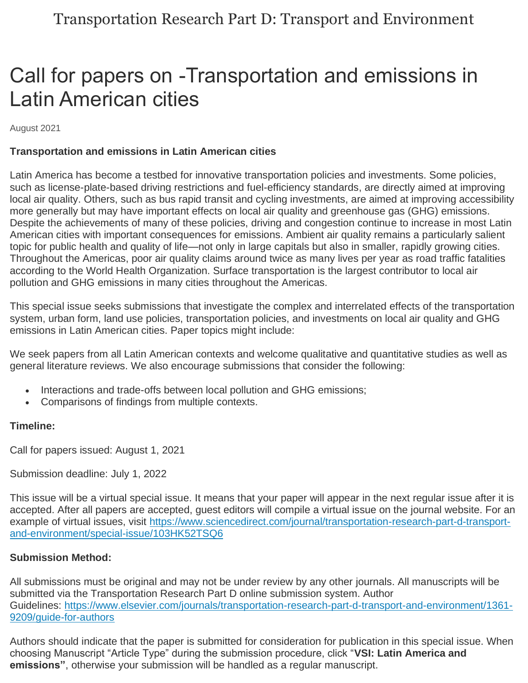## Call for papers on -Transportation and emissions in Latin American cities

August 2021

## **Transportation and emissions in Latin American cities**

Latin America has become a testbed for innovative transportation policies and investments. Some policies, such as license-plate-based driving restrictions and fuel-efficiency standards, are directly aimed at improving local air quality. Others, such as bus rapid transit and cycling investments, are aimed at improving accessibility more generally but may have important effects on local air quality and greenhouse gas (GHG) emissions. Despite the achievements of many of these policies, driving and congestion continue to increase in most Latin American cities with important consequences for emissions. Ambient air quality remains a particularly salient topic for public health and quality of life—not only in large capitals but also in smaller, rapidly growing cities. Throughout the Americas, poor air quality claims around twice as many lives per year as road traffic fatalities according to the World Health Organization. Surface transportation is the largest contributor to local air pollution and GHG emissions in many cities throughout the Americas.

This special issue seeks submissions that investigate the complex and interrelated effects of the transportation system, urban form, land use policies, transportation policies, and investments on local air quality and GHG emissions in Latin American cities. Paper topics might include:

We seek papers from all Latin American contexts and welcome qualitative and quantitative studies as well as general literature reviews. We also encourage submissions that consider the following:

- Interactions and trade-offs between local pollution and GHG emissions;
- Comparisons of findings from multiple contexts.

## **Timeline:**

Call for papers issued: August 1, 2021

Submission deadline: July 1, 2022

This issue will be a virtual special issue. It means that your paper will appear in the next regular issue after it is accepted. After all papers are accepted, guest editors will compile a virtual issue on the journal website. For an example of virtual issues, visit [https://www.sciencedirect.com/journal/transportation-research-part-d-transport](https://www.sciencedirect.com/journal/transportation-research-part-d-transport-and-environment/special-issue/103HK52TSQ6)[and-environment/special-issue/103HK52TSQ6](https://www.sciencedirect.com/journal/transportation-research-part-d-transport-and-environment/special-issue/103HK52TSQ6)

## **Submission Method:**

All submissions must be original and may not be under review by any other journals. All manuscripts will be submitted via the Transportation Research Part D online submission system. Author Guidelines: [https://www.elsevier.com/journals/transportation-research-part-d-transport-and-environment/1361-](https://www.elsevier.com/journals/transportation-research-part-d-transport-and-environment/1361-9209/guide-for-authors) [9209/guide-for-authors](https://www.elsevier.com/journals/transportation-research-part-d-transport-and-environment/1361-9209/guide-for-authors)

Authors should indicate that the paper is submitted for consideration for publication in this special issue. When choosing Manuscript "Article Type" during the submission procedure, click "**VSI: Latin America and emissions"**, otherwise your submission will be handled as a regular manuscript.